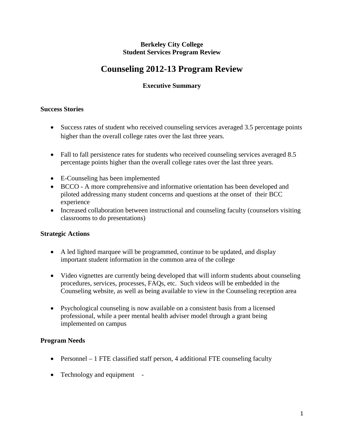#### **Berkeley City College Student Services Program Review**

# **Counseling 2012-13 Program Review**

# **Executive Summary**

#### **Success Stories**

- Success rates of student who received counseling services averaged 3.5 percentage points higher than the overall college rates over the last three years.
- Fall to fall persistence rates for students who received counseling services averaged 8.5 percentage points higher than the overall college rates over the last three years.
- E-Counseling has been implemented
- BCCO A more comprehensive and informative orientation has been developed and piloted addressing many student concerns and questions at the onset of their BCC experience
- Increased collaboration between instructional and counseling faculty (counselors visiting classrooms to do presentations)

## **Strategic Actions**

- A led lighted marquee will be programmed, continue to be updated, and display important student information in the common area of the college
- Video vignettes are currently being developed that will inform students about counseling procedures, services, processes, FAQs, etc. Such videos will be embedded in the Counseling website, as well as being available to view in the Counseling reception area
- Psychological counseling is now available on a consistent basis from a licensed professional, while a peer mental health adviser model through a grant being implemented on campus

# **Program Needs**

- Personnel 1 FTE classified staff person, 4 additional FTE counseling faculty
- Technology and equipment -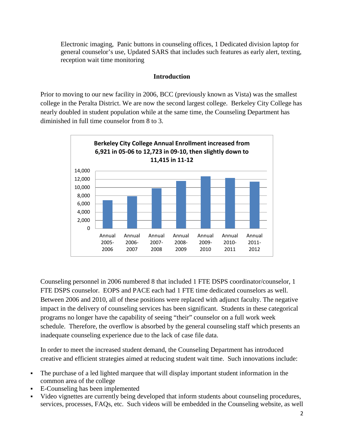Electronic imaging, Panic buttons in counseling offices, 1 Dedicated division laptop for general counselor's use, Updated SARS that includes such features as early alert, texting, reception wait time monitoring

# **Introduction**

Prior to moving to our new facility in 2006, BCC (previously known as Vista) was the smallest college in the Peralta District. We are now the second largest college. Berkeley City College has nearly doubled in student population while at the same time, the Counseling Department has diminished in full time counselor from 8 to 3.



Counseling personnel in 2006 numbered 8 that included 1 FTE DSPS coordinator/counselor, 1 FTE DSPS counselor. EOPS and PACE each had 1 FTE time dedicated counselors as well. Between 2006 and 2010, all of these positions were replaced with adjunct faculty. The negative impact in the delivery of counseling services has been significant. Students in these categorical programs no longer have the capability of seeing "their" counselor on a full work week schedule. Therefore, the overflow is absorbed by the general counseling staff which presents an inadequate counseling experience due to the lack of case file data.

In order to meet the increased student demand, the Counseling Department has introduced creative and efficient strategies aimed at reducing student wait time. Such innovations include:

- The purchase of a led lighted marquee that will display important student information in the common area of the college
- E-Counseling has been implemented
- Video vignettes are currently being developed that inform students about counseling procedures, services, processes, FAQs, etc. Such videos will be embedded in the Counseling website, as well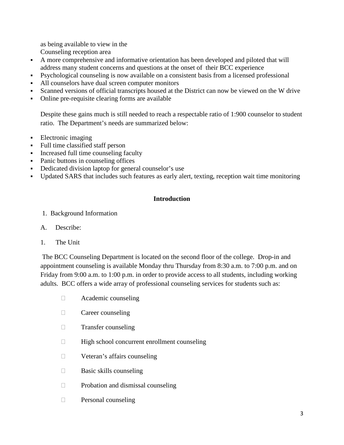as being available to view in the Counseling reception area

- A more comprehensive and informative orientation has been developed and piloted that will address many student concerns and questions at the onset of their BCC experience
- Psychological counseling is now available on a consistent basis from a licensed professional
- All counselors have dual screen computer monitors
- Scanned versions of official transcripts housed at the District can now be viewed on the W drive
- Online pre-requisite clearing forms are available

Despite these gains much is still needed to reach a respectable ratio of 1:900 counselor to student ratio. The Department's needs are summarized below:

- Electronic imaging
- Full time classified staff person
- Increased full time counseling faculty
- Panic buttons in counseling offices
- Dedicated division laptop for general counselor's use
- Updated SARS that includes such features as early alert, texting, reception wait time monitoring

## **Introduction**

- 1. Background Information
- A. Describe:
- 1. The Unit

The BCC Counseling Department is located on the second floor of the college. Drop-in and appointment counseling is available Monday thru Thursday from 8:30 a.m. to 7:00 p.m. and on Friday from 9:00 a.m. to 1:00 p.m. in order to provide access to all students, including working adults. BCC offers a wide array of professional counseling services for students such as:

- Academic counseling
- **Career counseling**
- **Transfer counseling**
- $\Box$  High school concurrent enrollment counseling
- □ Veteran's affairs counseling
- $\Box$  Basic skills counseling
- $\Box$  Probation and dismissal counseling
- **Personal counseling**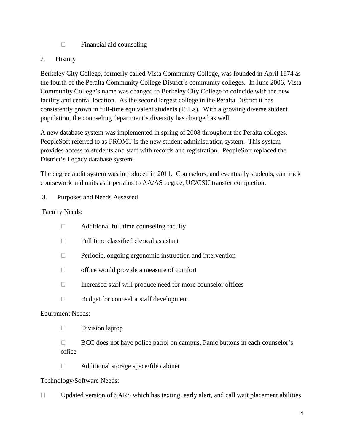$\Box$  Financial aid counseling

# 2. History

Berkeley City College, formerly called Vista Community College, was founded in April 1974 as the fourth of the Peralta Community College District's community colleges. In June 2006, Vista Community College's name was changed to Berkeley City College to coincide with the new facility and central location. As the second largest college in the Peralta District it has consistently grown in full-time equivalent students (FTEs). With a growing diverse student population, the counseling department's diversity has changed as well.

A new database system was implemented in spring of 2008 throughout the Peralta colleges. PeopleSoft referred to as PROMT is the new student administration system. This system provides access to students and staff with records and registration. PeopleSoft replaced the District's Legacy database system.

The degree audit system was introduced in 2011. Counselors, and eventually students, can track coursework and units as it pertains to AA/AS degree, UC/CSU transfer completion.

3. Purposes and Needs Assessed

Faculty Needs:

- $\Box$  Additional full time counseling faculty
- $\Box$  Full time classified clerical assistant
- $\Box$  Periodic, ongoing ergonomic instruction and intervention
- □ office would provide a measure of comfort
- $\Box$  Increased staff will produce need for more counselor offices
- □ Budget for counselor staff development

## Equipment Needs:

 $\square$  Division laptop

 $\Box$  BCC does not have police patrol on campus, Panic buttons in each counselor's office

□ Additional storage space/file cabinet

## Technology/Software Needs:

 $\Box$  Updated version of SARS which has texting, early alert, and call wait placement abilities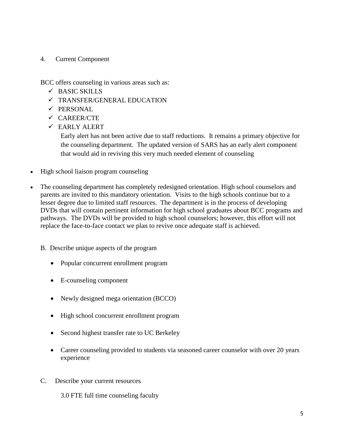## 4. Current Component

BCC offers counseling in various areas such as:

- BASIC SKILLS
- TRANSFER/GENERAL EDUCATION
- $\checkmark$  PERSONAL
- $\checkmark$  CAREER/CTE
- EARLY ALERT

Early alert has not been active due to staff reductions. It remains a primary objective for the counseling department. The updated version of SARS has an early alert component that would aid in reviving this very much needed element of counseling

- High school liaison program counseling
- The counseling department has completely redesigned orientation. High school counselors and parents are invited to this mandatory orientation. Visits to the high schools continue but to a lesser degree due to limited staff resources. The department is in the process of developing DVDs that will contain pertinent information for high school graduates about BCC programs and pathways. The DVDs will be provided to high school counselors; however, this effort will not replace the face-to-face contact we plan to revive once adequate staff is achieved.
	- B. Describe unique aspects of the program
		- Popular concurrent enrollment program
		- E-counseling component
		- Newly designed mega orientation (BCCO)
		- High school concurrent enrollment program
		- Second highest transfer rate to UC Berkeley
		- Career counseling provided to students via seasoned career counselor with over 20 years experience
	- C. Describe your current resources

3.0 FTE full time counseling faculty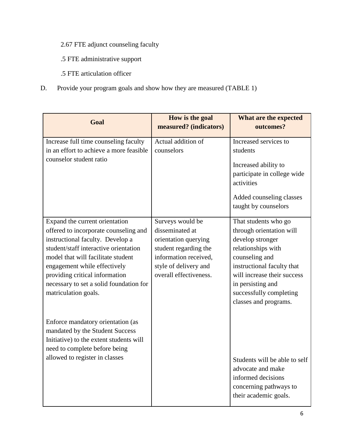- 2.67 FTE adjunct counseling faculty
- .5 FTE administrative support
- .5 FTE articulation officer
- D. Provide your program goals and show how they are measured (TABLE 1)

| Goal                                                                                                                                                                                                                                                                                                                            | How is the goal<br>measured? (indicators)                                                                                                                        | What are the expected<br>outcomes?                                                                                                                                                                                                                 |
|---------------------------------------------------------------------------------------------------------------------------------------------------------------------------------------------------------------------------------------------------------------------------------------------------------------------------------|------------------------------------------------------------------------------------------------------------------------------------------------------------------|----------------------------------------------------------------------------------------------------------------------------------------------------------------------------------------------------------------------------------------------------|
| Increase full time counseling faculty<br>in an effort to achieve a more feasible<br>counselor student ratio                                                                                                                                                                                                                     | Actual addition of<br>counselors                                                                                                                                 | Increased services to<br>students<br>Increased ability to<br>participate in college wide<br>activities<br>Added counseling classes<br>taught by counselors                                                                                         |
| Expand the current orientation<br>offered to incorporate counseling and<br>instructional faculty. Develop a<br>student/staff interactive orientation<br>model that will facilitate student<br>engagement while effectively<br>providing critical information<br>necessary to set a solid foundation for<br>matriculation goals. | Surveys would be<br>disseminated at<br>orientation querying<br>student regarding the<br>information received,<br>style of delivery and<br>overall effectiveness. | That students who go<br>through orientation will<br>develop stronger<br>relationships with<br>counseling and<br>instructional faculty that<br>will increase their success<br>in persisting and<br>successfully completing<br>classes and programs. |
| Enforce mandatory orientation (as<br>mandated by the Student Success<br>Initiative) to the extent students will<br>need to complete before being<br>allowed to register in classes                                                                                                                                              |                                                                                                                                                                  | Students will be able to self<br>advocate and make<br>informed decisions<br>concerning pathways to<br>their academic goals.                                                                                                                        |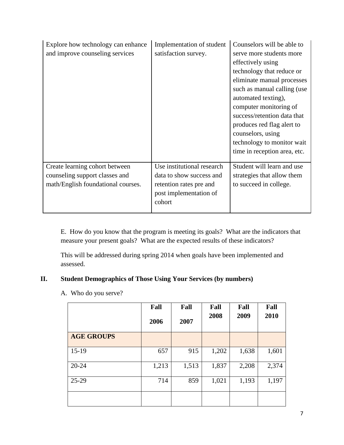| Explore how technology can enhance<br>and improve counseling services                                  | Implementation of student<br>satisfaction survey.                                                                     | Counselors will be able to<br>serve more students more<br>effectively using<br>technology that reduce or<br>eliminate manual processes<br>such as manual calling (use<br>automated texting),<br>computer monitoring of<br>success/retention data that<br>produces red flag alert to<br>counselors, using<br>technology to monitor wait<br>time in reception area, etc. |
|--------------------------------------------------------------------------------------------------------|-----------------------------------------------------------------------------------------------------------------------|------------------------------------------------------------------------------------------------------------------------------------------------------------------------------------------------------------------------------------------------------------------------------------------------------------------------------------------------------------------------|
| Create learning cohort between<br>counseling support classes and<br>math/English foundational courses. | Use institutional research<br>data to show success and<br>retention rates pre and<br>post implementation of<br>cohort | Student will learn and use<br>strategies that allow them<br>to succeed in college.                                                                                                                                                                                                                                                                                     |

E. How do you know that the program is meeting its goals? What are the indicators that measure your present goals? What are the expected results of these indicators?

This will be addressed during spring 2014 when goals have been implemented and assessed.

# **II. Student Demographics of Those Using Your Services (by numbers)**

|                   | Fall<br>2006 | Fall<br>2007 | Fall<br>2008 | Fall<br>2009 | Fall<br>2010 |
|-------------------|--------------|--------------|--------------|--------------|--------------|
| <b>AGE GROUPS</b> |              |              |              |              |              |
| $15-19$           | 657          | 915          | 1,202        | 1,638        | 1,601        |
| $20 - 24$         | 1,213        | 1,513        | 1,837        | 2,208        | 2,374        |
| $25-29$           | 714          | 859          | 1,021        | 1,193        | 1,197        |
|                   |              |              |              |              |              |

A. Who do you serve?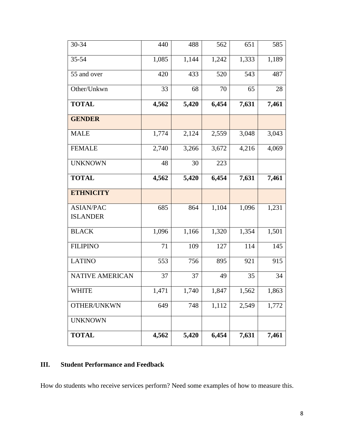| 30-34                               | 440   | 488   | 562   | 651   | 585   |
|-------------------------------------|-------|-------|-------|-------|-------|
| 35-54                               | 1,085 | 1,144 | 1,242 | 1,333 | 1,189 |
| 55 and over                         | 420   | 433   | 520   | 543   | 487   |
| Other/Unkwn                         | 33    | 68    | 70    | 65    | 28    |
| <b>TOTAL</b>                        | 4,562 | 5,420 | 6,454 | 7,631 | 7,461 |
| <b>GENDER</b>                       |       |       |       |       |       |
| <b>MALE</b>                         | 1,774 | 2,124 | 2,559 | 3,048 | 3,043 |
| <b>FEMALE</b>                       | 2,740 | 3,266 | 3,672 | 4,216 | 4,069 |
| <b>UNKNOWN</b>                      | 48    | 30    | 223   |       |       |
| <b>TOTAL</b>                        | 4,562 | 5,420 | 6,454 | 7,631 | 7,461 |
| <b>ETHNICITY</b>                    |       |       |       |       |       |
| <b>ASIAN/PAC</b><br><b>ISLANDER</b> | 685   | 864   | 1,104 | 1,096 | 1,231 |
| <b>BLACK</b>                        | 1,096 | 1,166 | 1,320 | 1,354 | 1,501 |
| <b>FILIPINO</b>                     | 71    | 109   | 127   | 114   | 145   |
| <b>LATINO</b>                       | 553   | 756   | 895   | 921   | 915   |
| <b>NATIVE AMERICAN</b>              | 37    | 37    | 49    | 35    | 34    |
| <b>WHITE</b>                        | 1,471 | 1,740 | 1,847 | 1,562 | 1,863 |
| OTHER/UNKWN                         | 649   | 748   | 1,112 | 2,549 | 1,772 |
| <b>UNKNOWN</b>                      |       |       |       |       |       |
| <b>TOTAL</b>                        | 4,562 | 5,420 | 6,454 | 7,631 | 7,461 |

# **III. Student Performance and Feedback**

How do students who receive services perform? Need some examples of how to measure this.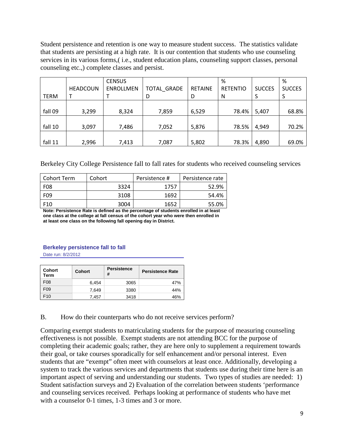Student persistence and retention is one way to measure student success. The statistics validate that students are persisting at a high rate. It is our contention that students who use counseling services in its various forms,( i.e., student education plans, counseling support classes, personal counseling etc.,) complete classes and persist.

|             |                 | <b>CENSUS</b>    |                    |                | %               |               | ℅             |
|-------------|-----------------|------------------|--------------------|----------------|-----------------|---------------|---------------|
|             | <b>HEADCOUN</b> | <b>ENROLLMEN</b> | <b>TOTAL GRADE</b> | <b>RETAINE</b> | <b>RETENTIO</b> | <b>SUCCES</b> | <b>SUCCES</b> |
| <b>TERM</b> |                 |                  | D                  | D              | N               | S             | S             |
|             |                 |                  |                    |                |                 |               |               |
| fall 09     | 3,299           | 8,324            | 7,859              | 6,529          | 78.4%           | 5,407         | 68.8%         |
|             |                 |                  |                    |                |                 |               |               |
| fall 10     | 3,097           | 7,486            | 7,052              | 5,876          | 78.5%           | 4,949         | 70.2%         |
|             |                 |                  |                    |                |                 |               |               |
| fall 11     | 2,996           | 7,413            | 7,087              | 5,802          | 78.3%           | 4,890         | 69.0%         |

Berkeley City College Persistence fall to fall rates for students who received counseling services

| Cohort Term      | Cohort | Persistence # | Persistence rate |
|------------------|--------|---------------|------------------|
| F <sub>0</sub> 8 | 3324   | 1757          | 52.9%            |
| F <sub>09</sub>  | 3108   | 1692          | 54.4%            |
| F <sub>10</sub>  | 3004   | 1652          | 55.0%            |

**Note: Persistence Rate is defined as the percentage of students enrolled in at least one class at the college at fall census of the cohort year who were then enrolled in at least one class on the following fall opening day in District.**

## **Berkeley persistence fall to fall**

Date run: 8/2/2012

| <b>Cohort</b><br>Term | Cohort | <b>Persistence</b><br># | <b>Persistence Rate</b> |
|-----------------------|--------|-------------------------|-------------------------|
| F <sub>08</sub>       | 6,454  | 3065                    | 47%                     |
| F <sub>09</sub>       | 7.649  | 3380                    | 44%                     |
| F10                   | 7.457  | 3418                    | 46%                     |

B. How do their counterparts who do not receive services perform?

Comparing exempt students to matriculating students for the purpose of measuring counseling effectiveness is not possible. Exempt students are not attending BCC for the purpose of completing their academic goals; rather, they are here only to supplement a requirement towards their goal, or take courses sporadically for self enhancement and/or personal interest. Even students that are "exempt" often meet with counselors at least once. Additionally, developing a system to track the various services and departments that students use during their time here is an important aspect of serving and understanding our students. Two types of studies are needed: 1) Student satisfaction surveys and 2) Evaluation of the correlation between students 'performance and counseling services received. Perhaps looking at performance of students who have met with a counselor 0-1 times, 1-3 times and 3 or more.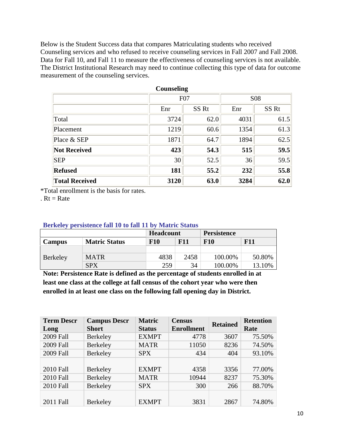Below is the Student Success data that compares Matriculating students who received Counseling services and who refused to receive counseling services in Fall 2007 and Fall 2008. Data for Fall 10, and Fall 11 to measure the effectiveness of counseling services is not available. The District Institutional Research may need to continue collecting this type of data for outcome measurement of the counseling services.

|                       | <b>Counseling</b> |                  |            |                  |
|-----------------------|-------------------|------------------|------------|------------------|
|                       | F07               |                  | <b>S08</b> |                  |
|                       | Enr               | SS <sub>Rt</sub> | Enr        | SS <sub>Rt</sub> |
| Total                 | 3724              | 62.0             | 4031       | 61.5             |
| Placement             | 1219              | 60.6             | 1354       | 61.3             |
| Place & SEP           | 1871              | 64.7             | 1894       | 62.5             |
| <b>Not Received</b>   | 423               | 54.3             | 515        | 59.5             |
| <b>SEP</b>            | 30                | 52.5             | 36         | 59.5             |
| <b>Refused</b>        | 181               | 55.2             | 232        | 55.8             |
| <b>Total Received</b> | 3120              | 63.0             | 3284       | 62.0             |

\*Total enrollment is the basis for rates.

.  $Rt = Rate$ 

#### **Berkeley persistence fall 10 to fall 11 by Matric Status**

| $\sim$<br>perpayeente imm it to lemma in the<br>$\sim$ . Also we have the second state of the second state $\sim$ |                      |                   |      |                    |            |  |
|-------------------------------------------------------------------------------------------------------------------|----------------------|-------------------|------|--------------------|------------|--|
|                                                                                                                   |                      | Headcount         |      | <b>Persistence</b> |            |  |
| Campus                                                                                                            | <b>Matric Status</b> | F11<br><b>F10</b> |      | <b>F10</b>         | <b>F11</b> |  |
| Berkeley                                                                                                          |                      |                   |      |                    |            |  |
|                                                                                                                   | <b>MATR</b>          | 4838              | 2458 | 100.00%            | 50.80%     |  |
|                                                                                                                   | <b>SPX</b>           | 259               | 34   | 100.00%            | 13.10%     |  |

**Note: Persistence Rate is defined as the percentage of students enrolled in at least one class at the college at fall census of the cohort year who were then enrolled in at least one class on the following fall opening day in District.**

| <b>Term Descr</b><br>Long | <b>Campus Descr</b><br><b>Short</b> | <b>Matric</b><br><b>Status</b> | <b>Census</b><br><b>Enrollment</b> | <b>Retained</b> | <b>Retention</b><br>Rate |
|---------------------------|-------------------------------------|--------------------------------|------------------------------------|-----------------|--------------------------|
| 2009 Fall                 | Berkeley                            | <b>EXMPT</b>                   | 4778                               | 3607            | 75.50%                   |
| 2009 Fall                 | Berkeley                            | <b>MATR</b>                    | 11050                              | 8236            | 74.50%                   |
| 2009 Fall                 | Berkeley                            | <b>SPX</b>                     | 434                                | 404             | 93.10%                   |
|                           |                                     |                                |                                    |                 |                          |
| <b>2010 Fall</b>          | Berkeley                            | <b>EXMPT</b>                   | 4358                               | 3356            | 77.00%                   |
| <b>2010 Fall</b>          | Berkeley                            | <b>MATR</b>                    | 10944                              | 8237            | 75.30%                   |
| <b>2010 Fall</b>          | Berkeley                            | <b>SPX</b>                     | 300                                | 266             | 88.70%                   |
|                           |                                     |                                |                                    |                 |                          |
| 2011 Fall                 | Berkeley                            | <b>EXMPT</b>                   | 3831                               | 2867            | 74.80%                   |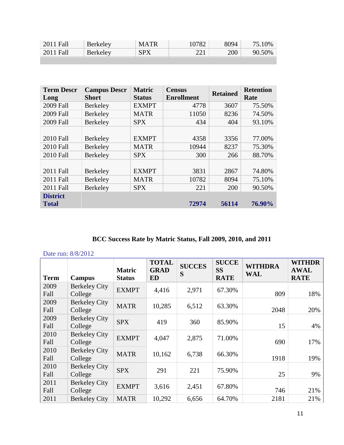| 2011 Fall | Berkeley | <b>MATR</b> | 10782 | 8094 | 75.10% |
|-----------|----------|-------------|-------|------|--------|
| 2011 Fall | Berkeley | <b>SPX</b>  |       | 200  | 90.50% |
|           |          |             |       |      |        |

| <b>Term Descr</b> | <b>Campus Descr</b> | <b>Matric</b> | <b>Census</b>     | <b>Retained</b> | <b>Retention</b> |
|-------------------|---------------------|---------------|-------------------|-----------------|------------------|
| Long              | <b>Short</b>        | <b>Status</b> | <b>Enrollment</b> |                 | Rate             |
| 2009 Fall         | <b>Berkeley</b>     | <b>EXMPT</b>  | 4778              | 3607            | 75.50%           |
| 2009 Fall         | Berkeley            | <b>MATR</b>   | 11050             | 8236            | 74.50%           |
| 2009 Fall         | Berkeley            | <b>SPX</b>    | 434               | 404             | 93.10%           |
|                   |                     |               |                   |                 |                  |
| 2010 Fall         | <b>Berkeley</b>     | <b>EXMPT</b>  | 4358              | 3356            | 77.00%           |
| 2010 Fall         | Berkeley            | <b>MATR</b>   | 10944             | 8237            | 75.30%           |
| <b>2010 Fall</b>  | <b>Berkeley</b>     | <b>SPX</b>    | 300               | 266             | 88.70%           |
|                   |                     |               |                   |                 |                  |
| 2011 Fall         | Berkeley            | <b>EXMPT</b>  | 3831              | 2867            | 74.80%           |
| 2011 Fall         | Berkeley            | <b>MATR</b>   | 10782             | 8094            | 75.10%           |
| 2011 Fall         | <b>Berkeley</b>     | <b>SPX</b>    | 221               | 200             | 90.50%           |
| <b>District</b>   |                     |               |                   |                 |                  |
| <b>Total</b>      |                     |               | 72974             | 56114           | 76.90%           |

# **BCC Success Rate by Matric Status, Fall 2009, 2010, and 2011**

| Date run: 8/8/2012 |                                 |                                |                                          |                    |                                          |                              |                                             |
|--------------------|---------------------------------|--------------------------------|------------------------------------------|--------------------|------------------------------------------|------------------------------|---------------------------------------------|
| <b>Term</b>        | <b>Campus</b>                   | <b>Matric</b><br><b>Status</b> | <b>TOTAL</b><br><b>GRAD</b><br><b>ED</b> | <b>SUCCES</b><br>S | <b>SUCCE</b><br><b>SS</b><br><b>RATE</b> | <b>WITHDRA</b><br><b>WAL</b> | <b>WITHDR</b><br><b>AWAL</b><br><b>RATE</b> |
| 2009<br>Fall       | <b>Berkeley City</b><br>College | <b>EXMPT</b>                   | 4,416                                    | 2,971              | 67.30%                                   | 809                          | 18%                                         |
| 2009<br>Fall       | <b>Berkeley City</b><br>College | <b>MATR</b>                    | 10,285                                   | 6,512              | 63.30%                                   | 2048                         | 20%                                         |
| 2009<br>Fall       | <b>Berkeley City</b><br>College | <b>SPX</b>                     | 419                                      | 360                | 85.90%                                   | 15                           | 4%                                          |
| 2010<br>Fall       | <b>Berkeley City</b><br>College | <b>EXMPT</b>                   | 4,047                                    | 2,875              | 71.00%                                   | 690                          | 17%                                         |
| 2010<br>Fall       | <b>Berkeley City</b><br>College | <b>MATR</b>                    | 10,162                                   | 6,738              | 66.30%                                   | 1918                         | 19%                                         |
| 2010<br>Fall       | <b>Berkeley City</b><br>College | <b>SPX</b>                     | 291                                      | 221                | 75.90%                                   | 25                           | 9%                                          |
| 2011<br>Fall       | <b>Berkeley City</b><br>College | <b>EXMPT</b>                   | 3,616                                    | 2,451              | 67.80%                                   | 746                          | 21%                                         |
| 2011               | <b>Berkeley City</b>            | <b>MATR</b>                    | 10,292                                   | 6,656              | 64.70%                                   | 2181                         | 21%                                         |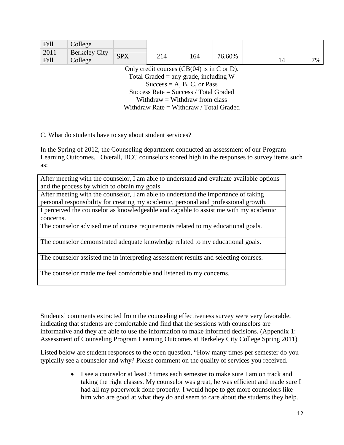| Fall                                          | College                         |            |     |     |        |    |    |
|-----------------------------------------------|---------------------------------|------------|-----|-----|--------|----|----|
| 2011<br>Fall                                  | <b>Berkeley City</b><br>College | <b>SPX</b> | 214 | 164 | 76.60% | 14 | 7% |
| Only credit courses $(CB(04))$ is in C or D). |                                 |            |     |     |        |    |    |
| Total Graded $=$ any grade, including W       |                                 |            |     |     |        |    |    |
| $Success = A, B, C, or Pass$                  |                                 |            |     |     |        |    |    |
| Success Rate = Success / Total Graded         |                                 |            |     |     |        |    |    |
| Withdraw $=$ Withdraw from class              |                                 |            |     |     |        |    |    |
| Withdraw Rate = Withdraw / Total Graded       |                                 |            |     |     |        |    |    |

C. What do students have to say about student services?

In the Spring of 2012, the Counseling department conducted an assessment of our Program Learning Outcomes. Overall, BCC counselors scored high in the responses to survey items such as:

After meeting with the counselor, I am able to understand and evaluate available options and the process by which to obtain my goals.

After meeting with the counselor, I am able to understand the importance of taking personal responsibility for creating my academic, personal and professional growth.

I perceived the counselor as knowledgeable and capable to assist me with my academic concerns.

The counselor advised me of course requirements related to my educational goals.

The counselor demonstrated adequate knowledge related to my educational goals.

The counselor assisted me in interpreting assessment results and selecting courses.

The counselor made me feel comfortable and listened to my concerns.

Students' comments extracted from the counseling effectiveness survey were very favorable, indicating that students are comfortable and find that the sessions with counselors are informative and they are able to use the information to make informed decisions. (Appendix 1: Assessment of Counseling Program Learning Outcomes at Berkeley City College Spring 2011)

Listed below are student responses to the open question, "How many times per semester do you typically see a counselor and why? Please comment on the quality of services you received.

> • I see a counselor at least 3 times each semester to make sure I am on track and taking the right classes. My counselor was great, he was efficient and made sure I had all my paperwork done properly. I would hope to get more counselors like him who are good at what they do and seem to care about the students they help.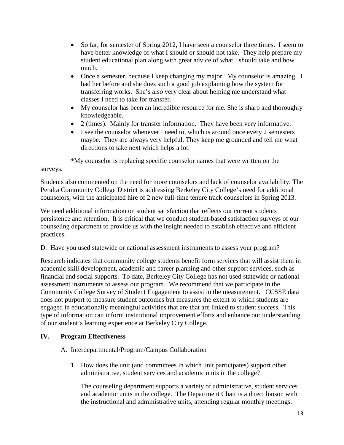- So far, for semester of Spring 2012, I have seen a counselor three times. I seem to have better knowledge of what I should or should not take. They help prepare my student educational plan along with great advice of what I should take and how much.
- Once a semester, because I keep changing my major. My counselor is amazing. I had her before and she does such a good job explaining how the system for transferring works. She's also very clear about helping me understand what classes I need to take for transfer.
- My counselor has been an incredible resource for me. She is sharp and thoroughly knowledgeable.
- 2 (times). Mainly for transfer information. They have been very informative.
- I see the counselor whenever I need to, which is around once every 2 semesters maybe. They are always very helpful. They keep me grounded and tell me what directions to take next which helps a lot.

\*My counselor is replacing specific counselor names that were written on the

surveys.

Students also commented on the need for more counselors and lack of counselor availability. The Peralta Community College District is addressing Berkeley City College's need for additional counselors, with the anticipated hire of 2 new full-time tenure track counselors in Spring 2013.

We need additional information on student satisfaction that reflects our current students persistence and retention. It is critical that we conduct student-based satisfaction surveys of our counseling department to provide us with the insight needed to establish effective and efficient practices.

D. Have you used statewide or national assessment instruments to assess your program?

Research indicates that community college students benefit form services that will assist them in academic skill development, academic and career planning and other support services, such as financial and social supports. To date, Berkeley City College has not used statewide or national assessment instruments to assess our program. We recommend that we participate in the Community College Survey of Student Engagement to assist in the measurement. CCSSE data does not purport to measure student outcomes but measures the extent to which students are engaged in educationally meaningful activities that are that are linked to student success. This type of information can inform institutional improvement efforts and enhance our understanding of our student's learning experience at Berkeley City College.

# **IV. Program Effectiveness**

## A. Interdepartmental/Program/Campus Collaboration

1. How does the unit (and committees in which unit participates) support other administrative, student services and academic units in the college?

The counseling department supports a variety of administrative, student services and academic units in the college. The Department Chair is a direct liaison with the instructional and administrative units, attending regular monthly meetings.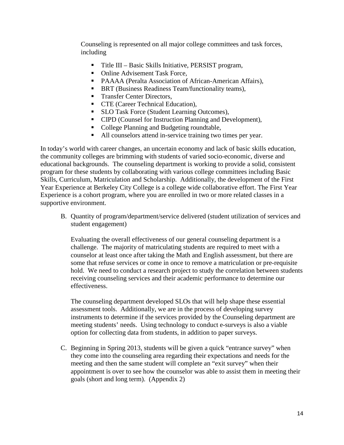Counseling is represented on all major college committees and task forces, including

- Title III Basic Skills Initiative, PERSIST program,
- Online Advisement Task Force,
- PAAAA (Peralta Association of African-American Affairs),
- **BRT** (Business Readiness Team/functionality teams),
- Transfer Center Directors,
- **CTE** (Career Technical Education),
- **SLO Task Force (Student Learning Outcomes),**
- CIPD (Counsel for Instruction Planning and Development),
- College Planning and Budgeting roundtable,
- All counselors attend in-service training two times per year.

In today's world with career changes, an uncertain economy and lack of basic skills education, the community colleges are brimming with students of varied socio-economic, diverse and educational backgrounds. The counseling department is working to provide a solid, consistent program for these students by collaborating with various college committees including Basic Skills, Curriculum, Matriculation and Scholarship. Additionally, the development of the First Year Experience at Berkeley City College is a college wide collaborative effort. The First Year Experience is a cohort program, where you are enrolled in two or more related classes in a supportive environment.

B. Quantity of program/department/service delivered (student utilization of services and student engagement)

Evaluating the overall effectiveness of our general counseling department is a challenge. The majority of matriculating students are required to meet with a counselor at least once after taking the Math and English assessment, but there are some that refuse services or come in once to remove a matriculation or pre-requisite hold. We need to conduct a research project to study the correlation between students receiving counseling services and their academic performance to determine our effectiveness.

The counseling department developed SLOs that will help shape these essential assessment tools. Additionally, we are in the process of developing survey instruments to determine if the services provided by the Counseling department are meeting students' needs. Using technology to conduct e-surveys is also a viable option for collecting data from students, in addition to paper surveys.

C. Beginning in Spring 2013, students will be given a quick "entrance survey" when they come into the counseling area regarding their expectations and needs for the meeting and then the same student will complete an "exit survey" when their appointment is over to see how the counselor was able to assist them in meeting their goals (short and long term). (Appendix 2)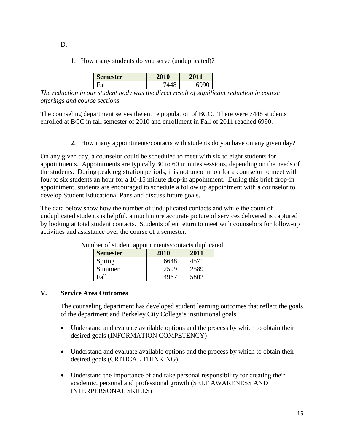1. How many students do you serve (unduplicated)?

| $\sim$<br>Semester | 2010 |  |
|--------------------|------|--|
|                    |      |  |

*The reduction in our student body was the direct result of significant reduction in course offerings and course sections.*

The counseling department serves the entire population of BCC. There were 7448 students enrolled at BCC in fall semester of 2010 and enrollment in Fall of 2011 reached 6990.

2. How many appointments/contacts with students do you have on any given day?

On any given day, a counselor could be scheduled to meet with six to eight students for appointments. Appointments are typically 30 to 60 minutes sessions, depending on the needs of the students. During peak registration periods, it is not uncommon for a counselor to meet with four to six students an hour for a 10-15 minute drop-in appointment. During this brief drop-in appointment, students are encouraged to schedule a follow up appointment with a counselor to develop Student Educational Pans and discuss future goals.

The data below show how the number of unduplicated contacts and while the count of unduplicated students is helpful, a much more accurate picture of services delivered is captured by looking at total student contacts. Students often return to meet with counselors for follow-up activities and assistance over the course of a semester.

| . .<br><b>Semester</b> | 2010 | 2011 |
|------------------------|------|------|
| Spring                 | 6648 | 4571 |
| Summer                 | 2599 | 2589 |
| Fall                   | 4967 | 5802 |

Number of student appointments/contacts duplicated

#### **V. Service Area Outcomes**

The counseling department has developed student learning outcomes that reflect the goals of the department and Berkeley City College's institutional goals.

- Understand and evaluate available options and the process by which to obtain their desired goals (INFORMATION COMPETENCY)
- Understand and evaluate available options and the process by which to obtain their desired goals (CRITICAL THINKING)
- Understand the importance of and take personal responsibility for creating their academic, personal and professional growth (SELF AWARENESS AND INTERPERSONAL SKILLS)

D.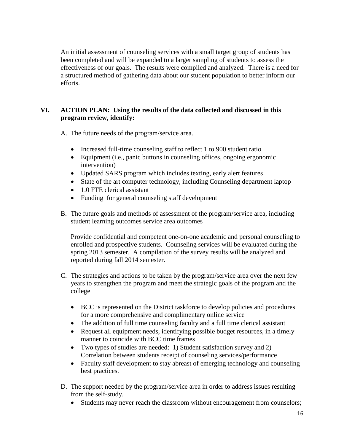An initial assessment of counseling services with a small target group of students has been completed and will be expanded to a larger sampling of students to assess the effectiveness of our goals. The results were compiled and analyzed. There is a need for a structured method of gathering data about our student population to better inform our efforts.

## **VI. ACTION PLAN: Using the results of the data collected and discussed in this program review, identify:**

A. The future needs of the program/service area.

- Increased full-time counseling staff to reflect 1 to 900 student ratio
- Equipment (i.e., panic buttons in counseling offices, ongoing ergonomic intervention)
- Updated SARS program which includes texting, early alert features
- State of the art computer technology, including Counseling department laptop
- 1.0 FTE clerical assistant
- Funding for general counseling staff development
- B. The future goals and methods of assessment of the program/service area, including student learning outcomes service area outcomes

Provide confidential and competent one-on-one academic and personal counseling to enrolled and prospective students. Counseling services will be evaluated during the spring 2013 semester. A compilation of the survey results will be analyzed and reported during fall 2014 semester.

- C. The strategies and actions to be taken by the program/service area over the next few years to strengthen the program and meet the strategic goals of the program and the college
	- BCC is represented on the District taskforce to develop policies and procedures for a more comprehensive and complimentary online service
	- The addition of full time counseling faculty and a full time clerical assistant
	- Request all equipment needs, identifying possible budget resources, in a timely manner to coincide with BCC time frames
	- Two types of studies are needed: 1) Student satisfaction survey and 2) Correlation between students receipt of counseling services/performance
	- Faculty staff development to stay abreast of emerging technology and counseling best practices.
- D. The support needed by the program/service area in order to address issues resulting from the self-study.
	- Students may never reach the classroom without encouragement from counselors;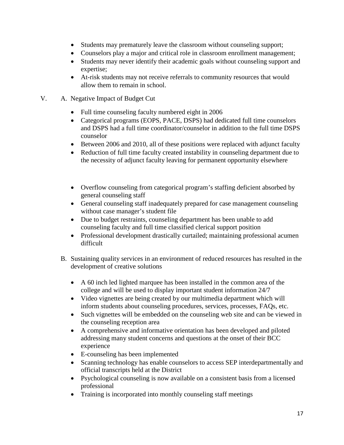- Students may prematurely leave the classroom without counseling support;
- Counselors play a major and critical role in classroom enrollment management;
- Students may never identify their academic goals without counseling support and expertise;
- At-risk students may not receive referrals to community resources that would allow them to remain in school.

# V. A. Negative Impact of Budget Cut

- Full time counseling faculty numbered eight in 2006
- Categorical programs (EOPS, PACE, DSPS) had dedicated full time counselors and DSPS had a full time coordinator/counselor in addition to the full time DSPS counselor
- Between 2006 and 2010, all of these positions were replaced with adjunct faculty
- Reduction of full time faculty created instability in counseling department due to the necessity of adjunct faculty leaving for permanent opportunity elsewhere
- Overflow counseling from categorical program's staffing deficient absorbed by general counseling staff
- General counseling staff inadequately prepared for case management counseling without case manager's student file
- Due to budget restraints, counseling department has been unable to add counseling faculty and full time classified clerical support position
- Professional development drastically curtailed; maintaining professional acumen difficult
- B. Sustaining quality services in an environment of reduced resources has resulted in the development of creative solutions
	- A 60 inch led lighted marquee has been installed in the common area of the college and will be used to display important student information 24/7
	- Video vignettes are being created by our multimedia department which will inform students about counseling procedures, services, processes, FAQs, etc.
	- Such vignettes will be embedded on the counseling web site and can be viewed in the counseling reception area
	- A comprehensive and informative orientation has been developed and piloted addressing many student concerns and questions at the onset of their BCC experience
	- E-counseling has been implemented
	- Scanning technology has enable counselors to access SEP interdepartmentally and official transcripts held at the District
	- Psychological counseling is now available on a consistent basis from a licensed professional
	- Training is incorporated into monthly counseling staff meetings